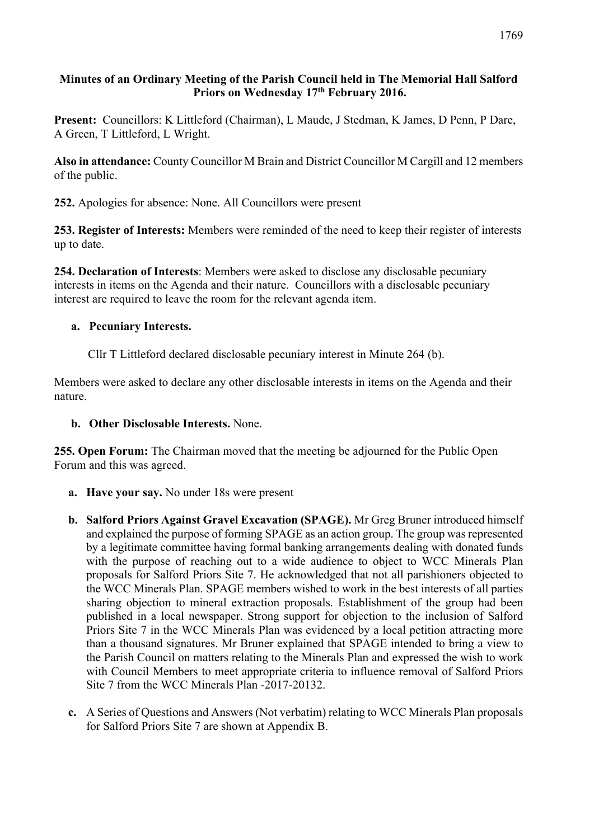## **Minutes of an Ordinary Meeting of the Parish Council held in The Memorial Hall Salford Priors on Wednesday 17th February 2016.**

**Present:** Councillors: K Littleford (Chairman), L Maude, J Stedman, K James, D Penn, P Dare, A Green, T Littleford, L Wright.

**Also in attendance:** County Councillor M Brain and District Councillor M Cargill and 12 members of the public.

**252.** Apologies for absence: None. All Councillors were present

**253. Register of Interests:** Members were reminded of the need to keep their register of interests up to date.

**254. Declaration of Interests**: Members were asked to disclose any disclosable pecuniary interests in items on the Agenda and their nature. Councillors with a disclosable pecuniary interest are required to leave the room for the relevant agenda item.

## **a. Pecuniary Interests.**

Cllr T Littleford declared disclosable pecuniary interest in Minute 264 (b).

Members were asked to declare any other disclosable interests in items on the Agenda and their nature.

## **b. Other Disclosable Interests.** None.

**255. Open Forum:** The Chairman moved that the meeting be adjourned for the Public Open Forum and this was agreed.

- **a. Have your say.** No under 18s were present
- **b. Salford Priors Against Gravel Excavation (SPAGE).** Mr Greg Bruner introduced himself and explained the purpose of forming SPAGE as an action group. The group was represented by a legitimate committee having formal banking arrangements dealing with donated funds with the purpose of reaching out to a wide audience to object to WCC Minerals Plan proposals for Salford Priors Site 7. He acknowledged that not all parishioners objected to the WCC Minerals Plan. SPAGE members wished to work in the best interests of all parties sharing objection to mineral extraction proposals. Establishment of the group had been published in a local newspaper. Strong support for objection to the inclusion of Salford Priors Site 7 in the WCC Minerals Plan was evidenced by a local petition attracting more than a thousand signatures. Mr Bruner explained that SPAGE intended to bring a view to the Parish Council on matters relating to the Minerals Plan and expressed the wish to work with Council Members to meet appropriate criteria to influence removal of Salford Priors Site 7 from the WCC Minerals Plan -2017-20132.
- **c.** A Series of Questions and Answers (Not verbatim) relating to WCC Minerals Plan proposals for Salford Priors Site 7 are shown at Appendix B.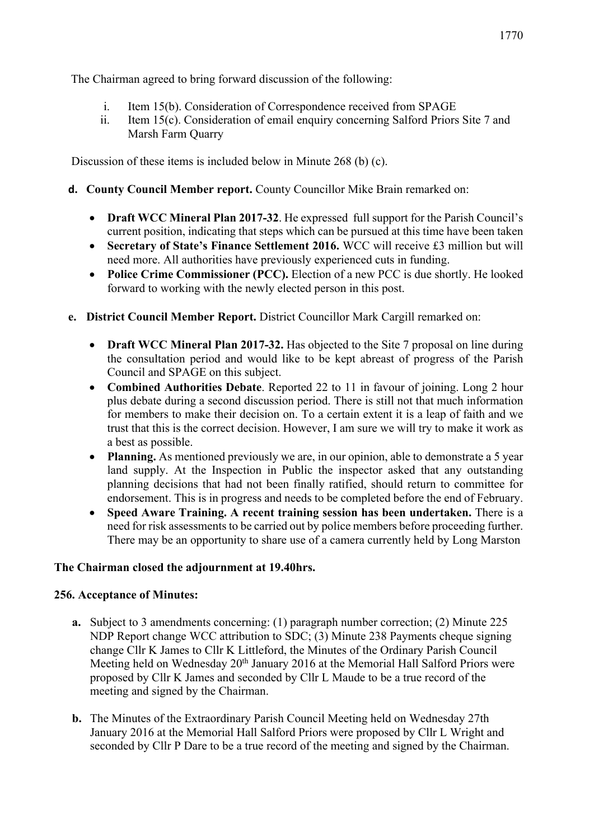The Chairman agreed to bring forward discussion of the following:

- i. Item 15(b). Consideration of Correspondence received from SPAGE
- ii. Item 15(c). Consideration of email enquiry concerning Salford Priors Site 7 and Marsh Farm Quarry

Discussion of these items is included below in Minute 268 (b) (c).

- **d. County Council Member report.** County Councillor Mike Brain remarked on:
	- **Draft WCC Mineral Plan 2017-32**. He expressed full support for the Parish Council's current position, indicating that steps which can be pursued at this time have been taken
	- **Secretary of State's Finance Settlement 2016.** WCC will receive £3 million but will need more. All authorities have previously experienced cuts in funding.
	- **Police Crime Commissioner (PCC).** Election of a new PCC is due shortly. He looked forward to working with the newly elected person in this post.
- **e. District Council Member Report.** District Councillor Mark Cargill remarked on:
	- **Draft WCC Mineral Plan 2017-32.** Has objected to the Site 7 proposal on line during the consultation period and would like to be kept abreast of progress of the Parish Council and SPAGE on this subject.
	- **Combined Authorities Debate**. Reported 22 to 11 in favour of joining. Long 2 hour plus debate during a second discussion period. There is still not that much information for members to make their decision on. To a certain extent it is a leap of faith and we trust that this is the correct decision. However, I am sure we will try to make it work as a best as possible.
	- **Planning.** As mentioned previously we are, in our opinion, able to demonstrate a 5 year land supply. At the Inspection in Public the inspector asked that any outstanding planning decisions that had not been finally ratified, should return to committee for endorsement. This is in progress and needs to be completed before the end of February.
	- **Speed Aware Training. A recent training session has been undertaken.** There is a need for risk assessments to be carried out by police members before proceeding further. There may be an opportunity to share use of a camera currently held by Long Marston

#### **The Chairman closed the adjournment at 19.40hrs.**

#### **256. Acceptance of Minutes:**

- **a.** Subject to 3 amendments concerning: (1) paragraph number correction; (2) Minute 225 NDP Report change WCC attribution to SDC; (3) Minute 238 Payments cheque signing change Cllr K James to Cllr K Littleford, the Minutes of the Ordinary Parish Council Meeting held on Wednesday 20<sup>th</sup> January 2016 at the Memorial Hall Salford Priors were proposed by Cllr K James and seconded by Cllr L Maude to be a true record of the meeting and signed by the Chairman.
- **b.** The Minutes of the Extraordinary Parish Council Meeting held on Wednesday 27th January 2016 at the Memorial Hall Salford Priors were proposed by Cllr L Wright and seconded by Cllr P Dare to be a true record of the meeting and signed by the Chairman.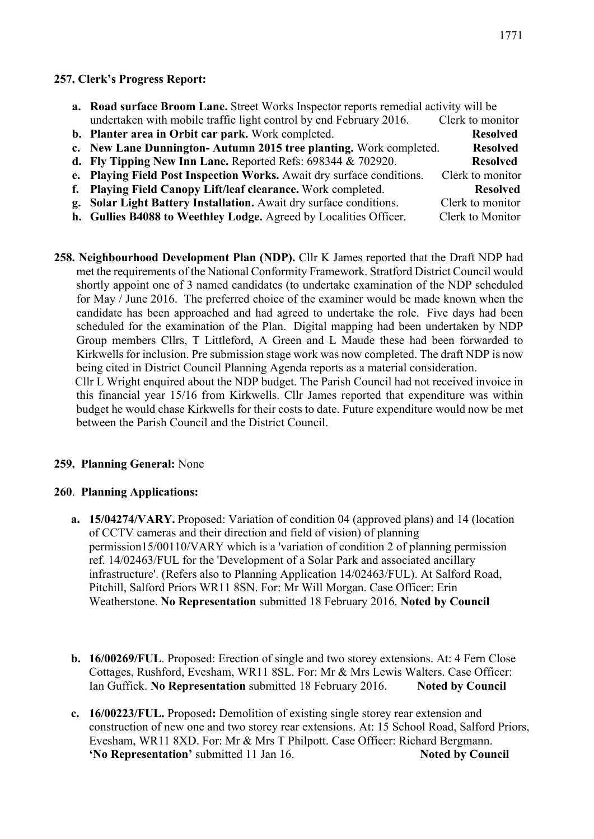#### **257. Clerk's Progress Report:**

| <b>a.</b> Road surface Broom Lane. Street Works Inspector reports remedial activity will be |                  |  |  |
|---------------------------------------------------------------------------------------------|------------------|--|--|
| undertaken with mobile traffic light control by end February 2016.                          | Clerk to monitor |  |  |
| b. Planter area in Orbit car park. Work completed.                                          | <b>Resolved</b>  |  |  |
| c. New Lane Dunnington-Autumn 2015 tree planting. Work completed.                           | <b>Resolved</b>  |  |  |
| d. Fly Tipping New Inn Lane. Reported Refs: $698344 \& 702920$ .                            | <b>Resolved</b>  |  |  |
| e. Playing Field Post Inspection Works. Await dry surface conditions.                       | Clerk to monitor |  |  |
| f. Playing Field Canopy Lift/leaf clearance. Work completed.                                | <b>Resolved</b>  |  |  |
| g. Solar Light Battery Installation. Await dry surface conditions.                          | Clerk to monitor |  |  |
| h. Gullies B4088 to Weethley Lodge. Agreed by Localities Officer.                           | Clerk to Monitor |  |  |

**258. Neighbourhood Development Plan (NDP).** Cllr K James reported that the Draft NDP had met the requirements of the National Conformity Framework. Stratford District Council would shortly appoint one of 3 named candidates (to undertake examination of the NDP scheduled for May / June 2016. The preferred choice of the examiner would be made known when the candidate has been approached and had agreed to undertake the role. Five days had been scheduled for the examination of the Plan. Digital mapping had been undertaken by NDP Group members Cllrs, T Littleford, A Green and L Maude these had been forwarded to Kirkwells for inclusion. Pre submission stage work was now completed. The draft NDP is now being cited in District Council Planning Agenda reports as a material consideration.

 Cllr L Wright enquired about the NDP budget. The Parish Council had not received invoice in this financial year 15/16 from Kirkwells. Cllr James reported that expenditure was within budget he would chase Kirkwells for their costs to date. Future expenditure would now be met between the Parish Council and the District Council.

#### **259. Planning General:** None

#### **260**. **Planning Applications:**

- **a. 15/04274/VARY.** Proposed: Variation of condition 04 (approved plans) and 14 (location of CCTV cameras and their direction and field of vision) of planning permission15/00110/VARY which is a 'variation of condition 2 of planning permission ref. 14/02463/FUL for the 'Development of a Solar Park and associated ancillary infrastructure'. (Refers also to Planning Application 14/02463/FUL). At Salford Road, Pitchill, Salford Priors WR11 8SN. For: Mr Will Morgan. Case Officer: Erin Weatherstone. **No Representation** submitted 18 February 2016. **Noted by Council**
- **b. 16/00269/FUL**. Proposed: Erection of single and two storey extensions. At: 4 Fern Close Cottages, Rushford, Evesham, WR11 8SL. For: Mr & Mrs Lewis Walters. Case Officer: Ian Guffick. No Representation submitted 18 February 2016. Noted by Council
- **c. 16/00223/FUL.** Proposed**:** Demolition of existing single storey rear extension and construction of new one and two storey rear extensions. At: 15 School Road, Salford Priors, Evesham, WR11 8XD. For: Mr & Mrs T Philpott. Case Officer: Richard Bergmann. **'No Representation'** submitted 11 Jan 16. **Noted by Council**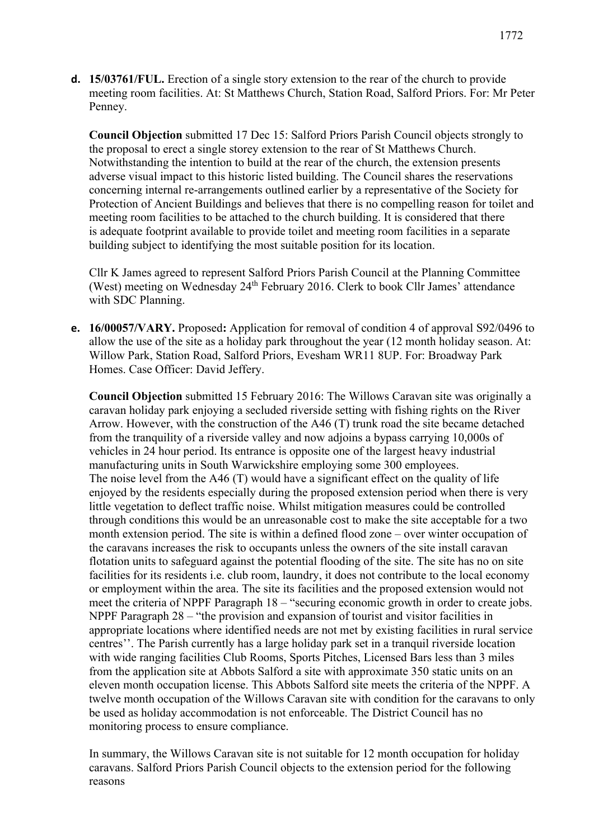**d. 15/03761/FUL.** Erection of a single story extension to the rear of the church to provide meeting room facilities. At: St Matthews Church, Station Road, Salford Priors. For: Mr Peter Penney.

**Council Objection** submitted 17 Dec 15: Salford Priors Parish Council objects strongly to the proposal to erect a single storey extension to the rear of St Matthews Church. Notwithstanding the intention to build at the rear of the church, the extension presents adverse visual impact to this historic listed building. The Council shares the reservations concerning internal re-arrangements outlined earlier by a representative of the Society for Protection of Ancient Buildings and believes that there is no compelling reason for toilet and meeting room facilities to be attached to the church building. It is considered that there is adequate footprint available to provide toilet and meeting room facilities in a separate building subject to identifying the most suitable position for its location.

Cllr K James agreed to represent Salford Priors Parish Council at the Planning Committee (West) meeting on Wednesday 24<sup>th</sup> February 2016. Clerk to book Cllr James' attendance with SDC Planning.

**e. 16/00057/VARY.** Proposed**:** Application for removal of condition 4 of approval S92/0496 to allow the use of the site as a holiday park throughout the year (12 month holiday season. At: Willow Park, Station Road, Salford Priors, Evesham WR11 8UP. For: Broadway Park Homes. Case Officer: David Jeffery.

**Council Objection** submitted 15 February 2016: The Willows Caravan site was originally a caravan holiday park enjoying a secluded riverside setting with fishing rights on the River Arrow. However, with the construction of the A46 (T) trunk road the site became detached from the tranquility of a riverside valley and now adjoins a bypass carrying 10,000s of vehicles in 24 hour period. Its entrance is opposite one of the largest heavy industrial manufacturing units in South Warwickshire employing some 300 employees. The noise level from the A46 (T) would have a significant effect on the quality of life enjoyed by the residents especially during the proposed extension period when there is very little vegetation to deflect traffic noise. Whilst mitigation measures could be controlled through conditions this would be an unreasonable cost to make the site acceptable for a two month extension period. The site is within a defined flood zone – over winter occupation of the caravans increases the risk to occupants unless the owners of the site install caravan flotation units to safeguard against the potential flooding of the site. The site has no on site facilities for its residents i.e. club room, laundry, it does not contribute to the local economy or employment within the area. The site its facilities and the proposed extension would not meet the criteria of NPPF Paragraph 18 – "securing economic growth in order to create jobs. NPPF Paragraph 28 – "the provision and expansion of tourist and visitor facilities in appropriate locations where identified needs are not met by existing facilities in rural service centres''. The Parish currently has a large holiday park set in a tranquil riverside location with wide ranging facilities Club Rooms, Sports Pitches, Licensed Bars less than 3 miles from the application site at Abbots Salford a site with approximate 350 static units on an eleven month occupation license. This Abbots Salford site meets the criteria of the NPPF. A twelve month occupation of the Willows Caravan site with condition for the caravans to only be used as holiday accommodation is not enforceable. The District Council has no monitoring process to ensure compliance.

In summary, the Willows Caravan site is not suitable for 12 month occupation for holiday caravans. Salford Priors Parish Council objects to the extension period for the following reasons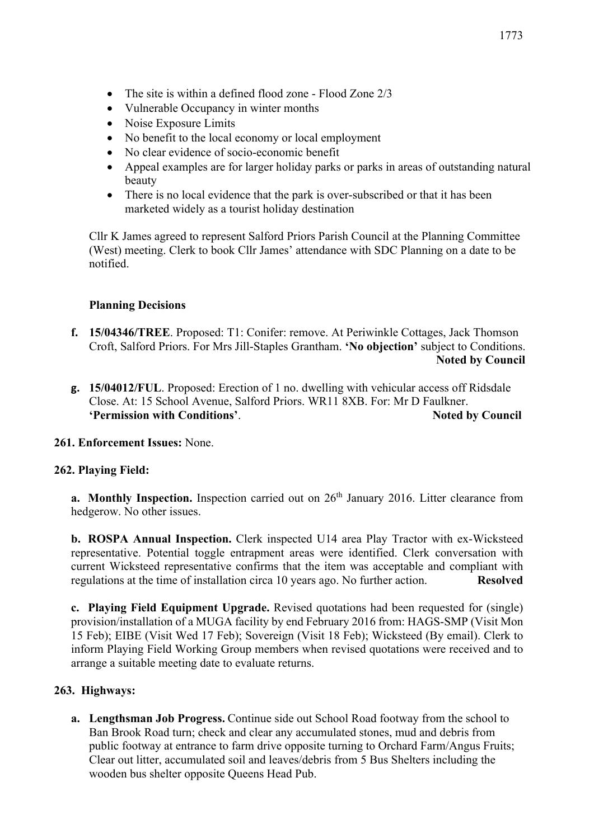- The site is within a defined flood zone Flood Zone 2/3
- Vulnerable Occupancy in winter months
- Noise Exposure Limits
- No benefit to the local economy or local employment
- No clear evidence of socio-economic benefit
- Appeal examples are for larger holiday parks or parks in areas of outstanding natural beauty
- There is no local evidence that the park is over-subscribed or that it has been marketed widely as a tourist holiday destination

Cllr K James agreed to represent Salford Priors Parish Council at the Planning Committee (West) meeting. Clerk to book Cllr James' attendance with SDC Planning on a date to be notified.

#### **Planning Decisions**

- **f. 15/04346/TREE**. Proposed: T1: Conifer: remove. At Periwinkle Cottages, Jack Thomson Croft, Salford Priors. For Mrs Jill-Staples Grantham. **'No objection'** subject to Conditions.  **Noted by Council**
- **g. 15/04012/FUL**. Proposed: Erection of 1 no. dwelling with vehicular access off Ridsdale Close. At: 15 School Avenue, Salford Priors. WR11 8XB. For: Mr D Faulkner. **'Permission with Conditions'.** Noted by Council **Noted** by Council

**261. Enforcement Issues:** None.

#### **262. Playing Field:**

**a.** Monthly Inspection. Inspection carried out on 26<sup>th</sup> January 2016. Litter clearance from hedgerow. No other issues.

**b. ROSPA Annual Inspection.** Clerk inspected U14 area Play Tractor with ex-Wicksteed representative. Potential toggle entrapment areas were identified. Clerk conversation with current Wicksteed representative confirms that the item was acceptable and compliant with regulations at the time of installation circa 10 years ago. No further action. **Resolved**

**c. Playing Field Equipment Upgrade.** Revised quotations had been requested for (single) provision/installation of a MUGA facility by end February 2016 from: HAGS-SMP (Visit Mon 15 Feb); EIBE (Visit Wed 17 Feb); Sovereign (Visit 18 Feb); Wicksteed (By email). Clerk to inform Playing Field Working Group members when revised quotations were received and to arrange a suitable meeting date to evaluate returns.

## **263. Highways:**

**a. Lengthsman Job Progress.** Continue side out School Road footway from the school to Ban Brook Road turn; check and clear any accumulated stones, mud and debris from public footway at entrance to farm drive opposite turning to Orchard Farm/Angus Fruits; Clear out litter, accumulated soil and leaves/debris from 5 Bus Shelters including the wooden bus shelter opposite Queens Head Pub.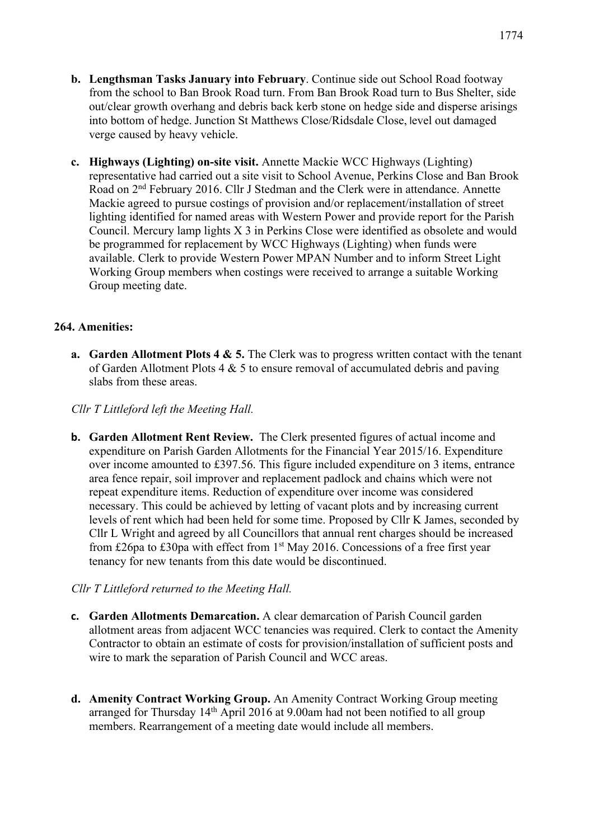- **b. Lengthsman Tasks January into February**. Continue side out School Road footway from the school to Ban Brook Road turn. From Ban Brook Road turn to Bus Shelter, side out/clear growth overhang and debris back kerb stone on hedge side and disperse arisings into bottom of hedge. Junction St Matthews Close/Ridsdale Close, level out damaged verge caused by heavy vehicle.
- **c. Highways (Lighting) on-site visit.** Annette Mackie WCC Highways (Lighting) representative had carried out a site visit to School Avenue, Perkins Close and Ban Brook Road on 2nd February 2016. Cllr J Stedman and the Clerk were in attendance. Annette Mackie agreed to pursue costings of provision and/or replacement/installation of street lighting identified for named areas with Western Power and provide report for the Parish Council. Mercury lamp lights X 3 in Perkins Close were identified as obsolete and would be programmed for replacement by WCC Highways (Lighting) when funds were available. Clerk to provide Western Power MPAN Number and to inform Street Light Working Group members when costings were received to arrange a suitable Working Group meeting date.

#### **264. Amenities:**

**a.** Garden Allotment Plots 4 & 5. The Clerk was to progress written contact with the tenant of Garden Allotment Plots  $4 \& 5$  to ensure removal of accumulated debris and paving slabs from these areas.

#### *Cllr T Littleford left the Meeting Hall.*

**b. Garden Allotment Rent Review.** The Clerk presented figures of actual income and expenditure on Parish Garden Allotments for the Financial Year 2015/16. Expenditure over income amounted to £397.56. This figure included expenditure on 3 items, entrance area fence repair, soil improver and replacement padlock and chains which were not repeat expenditure items. Reduction of expenditure over income was considered necessary. This could be achieved by letting of vacant plots and by increasing current levels of rent which had been held for some time. Proposed by Cllr K James, seconded by Cllr L Wright and agreed by all Councillors that annual rent charges should be increased from £26pa to £30pa with effect from  $1<sup>st</sup>$  May 2016. Concessions of a free first year tenancy for new tenants from this date would be discontinued.

#### *Cllr T Littleford returned to the Meeting Hall.*

- **c. Garden Allotments Demarcation.** A clear demarcation of Parish Council garden allotment areas from adjacent WCC tenancies was required. Clerk to contact the Amenity Contractor to obtain an estimate of costs for provision/installation of sufficient posts and wire to mark the separation of Parish Council and WCC areas.
- **d. Amenity Contract Working Group.** An Amenity Contract Working Group meeting arranged for Thursday 14<sup>th</sup> April 2016 at 9.00am had not been notified to all group members. Rearrangement of a meeting date would include all members.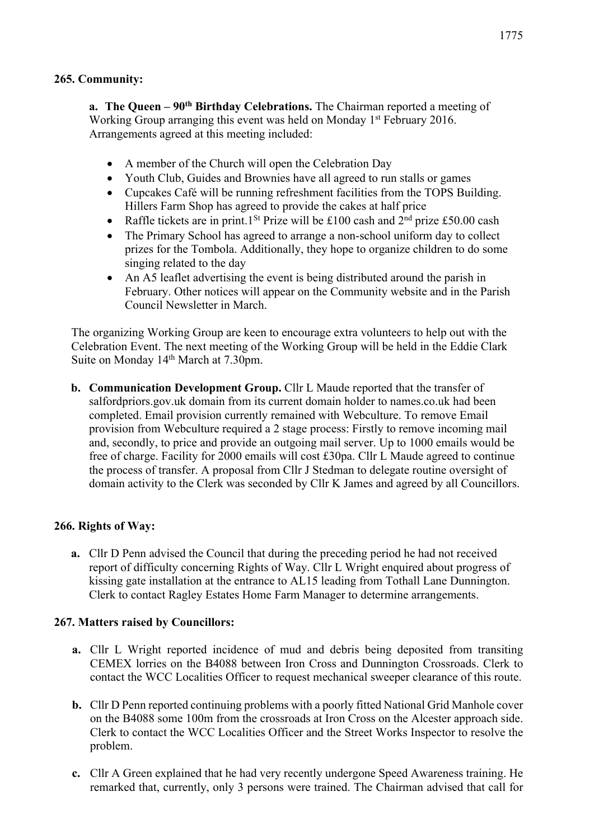**a. The Queen – 90th Birthday Celebrations.** The Chairman reported a meeting of Working Group arranging this event was held on Monday 1<sup>st</sup> February 2016. Arrangements agreed at this meeting included:

- A member of the Church will open the Celebration Day
- Youth Club, Guides and Brownies have all agreed to run stalls or games
- Cupcakes Café will be running refreshment facilities from the TOPS Building. Hillers Farm Shop has agreed to provide the cakes at half price
- Raffle tickets are in print.1<sup>St</sup> Prize will be £100 cash and  $2<sup>nd</sup>$  prize £50.00 cash
- The Primary School has agreed to arrange a non-school uniform day to collect prizes for the Tombola. Additionally, they hope to organize children to do some singing related to the day
- An A5 leaflet advertising the event is being distributed around the parish in February. Other notices will appear on the Community website and in the Parish Council Newsletter in March.

The organizing Working Group are keen to encourage extra volunteers to help out with the Celebration Event. The next meeting of the Working Group will be held in the Eddie Clark Suite on Monday 14<sup>th</sup> March at 7.30pm.

**b. Communication Development Group.** Cllr L Maude reported that the transfer of salfordpriors.gov.uk domain from its current domain holder to names.co.uk had been completed. Email provision currently remained with Webculture. To remove Email provision from Webculture required a 2 stage process: Firstly to remove incoming mail and, secondly, to price and provide an outgoing mail server. Up to 1000 emails would be free of charge. Facility for 2000 emails will cost £30pa. Cllr L Maude agreed to continue the process of transfer. A proposal from Cllr J Stedman to delegate routine oversight of domain activity to the Clerk was seconded by Cllr K James and agreed by all Councillors.

## **266. Rights of Way:**

**a.** Cllr D Penn advised the Council that during the preceding period he had not received report of difficulty concerning Rights of Way. Cllr L Wright enquired about progress of kissing gate installation at the entrance to AL15 leading from Tothall Lane Dunnington. Clerk to contact Ragley Estates Home Farm Manager to determine arrangements.

#### **267. Matters raised by Councillors:**

- **a.** Cllr L Wright reported incidence of mud and debris being deposited from transiting CEMEX lorries on the B4088 between Iron Cross and Dunnington Crossroads. Clerk to contact the WCC Localities Officer to request mechanical sweeper clearance of this route.
- **b.** Cllr D Penn reported continuing problems with a poorly fitted National Grid Manhole cover on the B4088 some 100m from the crossroads at Iron Cross on the Alcester approach side. Clerk to contact the WCC Localities Officer and the Street Works Inspector to resolve the problem.
- **c.** Cllr A Green explained that he had very recently undergone Speed Awareness training. He remarked that, currently, only 3 persons were trained. The Chairman advised that call for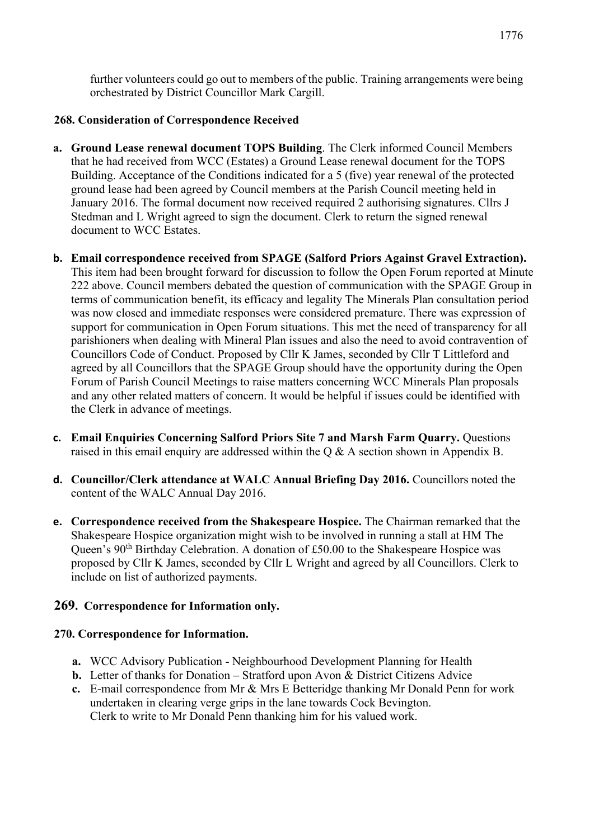further volunteers could go out to members of the public. Training arrangements were being orchestrated by District Councillor Mark Cargill.

## **268. Consideration of Correspondence Received**

- **a. Ground Lease renewal document TOPS Building**. The Clerk informed Council Members that he had received from WCC (Estates) a Ground Lease renewal document for the TOPS Building. Acceptance of the Conditions indicated for a 5 (five) year renewal of the protected ground lease had been agreed by Council members at the Parish Council meeting held in January 2016. The formal document now received required 2 authorising signatures. Cllrs J Stedman and L Wright agreed to sign the document. Clerk to return the signed renewal document to WCC Estates.
- **b. Email correspondence received from SPAGE (Salford Priors Against Gravel Extraction).** This item had been brought forward for discussion to follow the Open Forum reported at Minute 222 above. Council members debated the question of communication with the SPAGE Group in terms of communication benefit, its efficacy and legality The Minerals Plan consultation period was now closed and immediate responses were considered premature. There was expression of support for communication in Open Forum situations. This met the need of transparency for all parishioners when dealing with Mineral Plan issues and also the need to avoid contravention of Councillors Code of Conduct. Proposed by Cllr K James, seconded by Cllr T Littleford and agreed by all Councillors that the SPAGE Group should have the opportunity during the Open Forum of Parish Council Meetings to raise matters concerning WCC Minerals Plan proposals and any other related matters of concern. It would be helpful if issues could be identified with the Clerk in advance of meetings.
- **c. Email Enquiries Concerning Salford Priors Site 7 and Marsh Farm Quarry.** Questions raised in this email enquiry are addressed within the Q & A section shown in Appendix B.
- **d. Councillor/Clerk attendance at WALC Annual Briefing Day 2016.** Councillors noted the content of the WALC Annual Day 2016.
- **e. Correspondence received from the Shakespeare Hospice.** The Chairman remarked that the Shakespeare Hospice organization might wish to be involved in running a stall at HM The Queen's 90<sup>th</sup> Birthday Celebration. A donation of £50.00 to the Shakespeare Hospice was proposed by Cllr K James, seconded by Cllr L Wright and agreed by all Councillors. Clerk to include on list of authorized payments.

# **269. Correspondence for Information only.**

## **270. Correspondence for Information.**

- **a.** WCC Advisory Publication Neighbourhood Development Planning for Health
- **b.** Letter of thanks for Donation Stratford upon Avon & District Citizens Advice
- **c.** E-mail correspondence from Mr & Mrs E Betteridge thanking Mr Donald Penn for work undertaken in clearing verge grips in the lane towards Cock Bevington. Clerk to write to Mr Donald Penn thanking him for his valued work.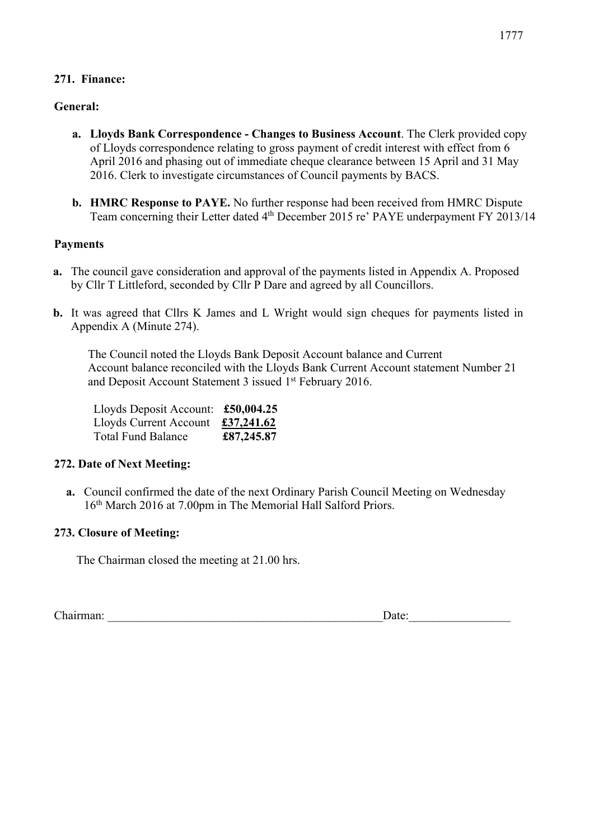## **271. Finance:**

## **General:**

- **a. Lloyds Bank Correspondence - Changes to Business Account**. The Clerk provided copy of Lloyds correspondence relating to gross payment of credit interest with effect from 6 April 2016 and phasing out of immediate cheque clearance between 15 April and 31 May 2016. Clerk to investigate circumstances of Council payments by BACS.
- **b. HMRC Response to PAYE.** No further response had been received from HMRC Dispute Team concerning their Letter dated 4<sup>th</sup> December 2015 re' PAYE underpayment FY 2013/14

## **Payments**

- **a.** The council gave consideration and approval of the payments listed in Appendix A. Proposed by Cllr T Littleford, seconded by Cllr P Dare and agreed by all Councillors.
- **b.** It was agreed that Cllrs K James and L Wright would sign cheques for payments listed in Appendix A (Minute 274).

The Council noted the Lloyds Bank Deposit Account balance and Current Account balance reconciled with the Lloyds Bank Current Account statement Number 21 and Deposit Account Statement 3 issued 1<sup>st</sup> February 2016.

| Lloyds Deposit Account: £50,004.25 |            |
|------------------------------------|------------|
| Lloyds Current Account             | £37,241.62 |
| <b>Total Fund Balance</b>          | £87,245.87 |

## **272. Date of Next Meeting:**

**a.** Council confirmed the date of the next Ordinary Parish Council Meeting on Wednesday 16th March 2016 at 7.00pm in The Memorial Hall Salford Priors.

## **273. Closure of Meeting:**

The Chairman closed the meeting at 21.00 hrs.

Chairman: <u>Date:</u>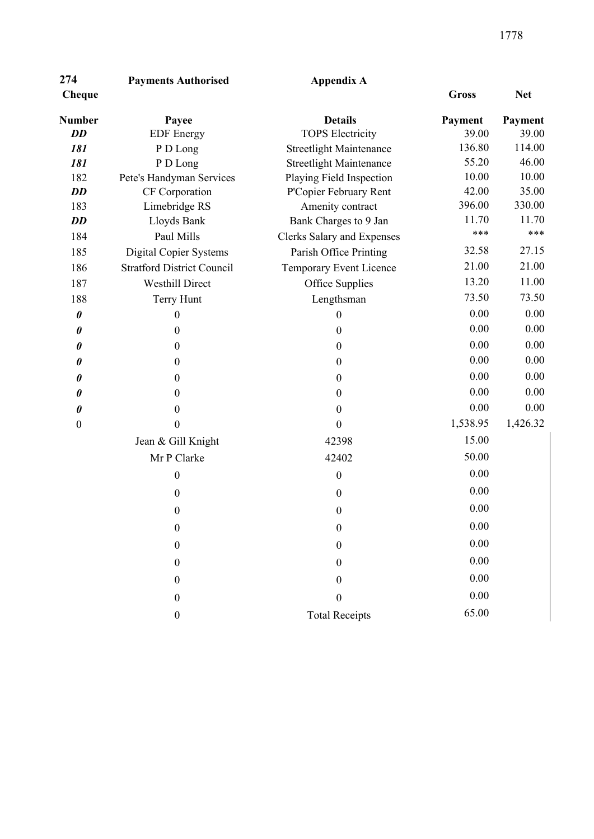| 274           | <b>Payments Authorised</b> | Appendix A                     |                |            |
|---------------|----------------------------|--------------------------------|----------------|------------|
| <b>Cheque</b> |                            |                                | <b>Gross</b>   | <b>Net</b> |
| <b>Number</b> | Payee                      | <b>Details</b>                 | <b>Payment</b> | Payme      |
| DD            | <b>EDF</b> Energy          | <b>TOPS Electricity</b>        | 39.00          | 39.        |
| 181           | P D Long                   | <b>Streetlight Maintenance</b> | 136.80         | 114.       |
| 181           | P D Long                   | <b>Streetlight Maintenance</b> | 55.20          | 46.        |
| 1 Q J         | Data's Handyman Carvings   | Dlaving Field Ingnostion       | 10.00          | $10^{-7}$  |

| Number                | Payee                             | <b>Details</b>                    | Payment  | Payment  |
|-----------------------|-----------------------------------|-----------------------------------|----------|----------|
| <b>DD</b>             | <b>EDF</b> Energy                 | <b>TOPS Electricity</b>           | 39.00    | 39.00    |
| 181                   | P D Long                          | <b>Streetlight Maintenance</b>    | 136.80   | 114.00   |
| 181                   | P D Long                          | <b>Streetlight Maintenance</b>    | 55.20    | 46.00    |
| 182                   | Pete's Handyman Services          | Playing Field Inspection          | 10.00    | 10.00    |
| <b>DD</b>             | CF Corporation                    | P'Copier February Rent            | 42.00    | 35.00    |
| 183                   | Limebridge RS                     | Amenity contract                  | 396.00   | 330.00   |
| <b>DD</b>             | Lloyds Bank                       | Bank Charges to 9 Jan             | 11.70    | 11.70    |
| 184                   | Paul Mills                        | <b>Clerks Salary and Expenses</b> | ***      | ***      |
| 185                   | <b>Digital Copier Systems</b>     | Parish Office Printing            | 32.58    | 27.15    |
| 186                   | <b>Stratford District Council</b> | Temporary Event Licence           | 21.00    | 21.00    |
| 187                   | <b>Westhill Direct</b>            | Office Supplies                   | 13.20    | 11.00    |
| 188                   | Terry Hunt                        | Lengthsman                        | 73.50    | 73.50    |
| $\pmb{\theta}$        | $\boldsymbol{0}$                  | $\boldsymbol{0}$                  | 0.00     | 0.00     |
| $\boldsymbol{\theta}$ | $\boldsymbol{0}$                  | $\boldsymbol{0}$                  | 0.00     | 0.00     |
| 0                     | $\boldsymbol{0}$                  | $\boldsymbol{0}$                  | 0.00     | 0.00     |
| 0                     | $\boldsymbol{0}$                  | $\boldsymbol{0}$                  | 0.00     | 0.00     |
| 0                     | $\boldsymbol{0}$                  | $\boldsymbol{0}$                  | 0.00     | 0.00     |
| 0                     | $\boldsymbol{0}$                  | $\boldsymbol{0}$                  | 0.00     | 0.00     |
| $\boldsymbol{\theta}$ | $\boldsymbol{0}$                  | $\boldsymbol{0}$                  | 0.00     | 0.00     |
| $\boldsymbol{0}$      | $\overline{0}$                    | $\overline{0}$                    | 1,538.95 | 1,426.32 |
|                       | Jean & Gill Knight                | 42398                             | 15.00    |          |
|                       | Mr P Clarke                       | 42402                             | 50.00    |          |
|                       | $\boldsymbol{0}$                  | $\boldsymbol{0}$                  | 0.00     |          |
|                       | $\boldsymbol{0}$                  | $\mathbf{0}$                      | 0.00     |          |
|                       | $\boldsymbol{0}$                  | $\boldsymbol{0}$                  | 0.00     |          |
|                       | $\boldsymbol{0}$                  | $\boldsymbol{0}$                  | 0.00     |          |
|                       | $\boldsymbol{0}$                  | $\theta$                          | 0.00     |          |
|                       | $\boldsymbol{0}$                  | $\boldsymbol{0}$                  | 0.00     |          |
|                       | $\boldsymbol{0}$                  | $\boldsymbol{0}$                  | 0.00     |          |
|                       | $\boldsymbol{0}$                  | $\boldsymbol{0}$                  | 0.00     |          |
|                       | $\boldsymbol{0}$                  | <b>Total Receipts</b>             | 65.00    |          |
|                       |                                   |                                   |          |          |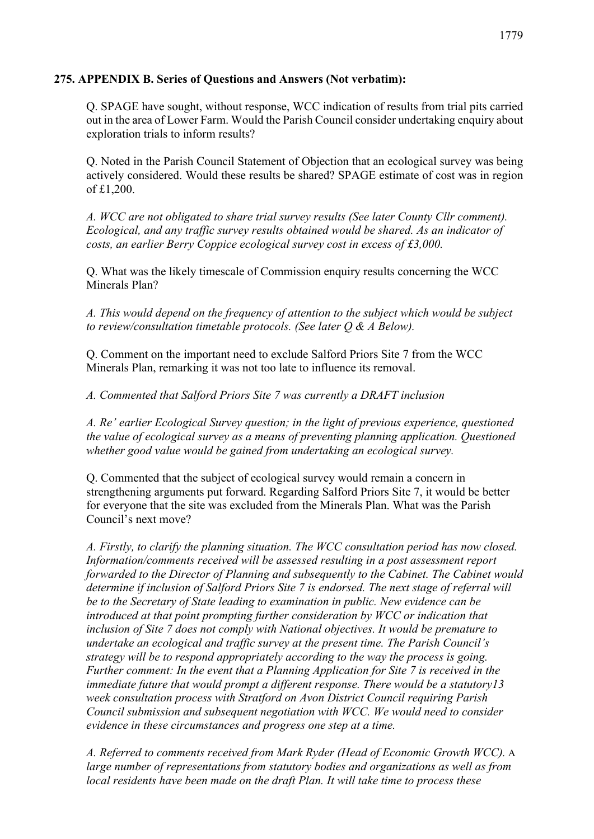## **275. APPENDIX B. Series of Questions and Answers (Not verbatim):**

Q. SPAGE have sought, without response, WCC indication of results from trial pits carried out in the area of Lower Farm. Would the Parish Council consider undertaking enquiry about exploration trials to inform results?

Q. Noted in the Parish Council Statement of Objection that an ecological survey was being actively considered. Would these results be shared? SPAGE estimate of cost was in region of £1,200.

*A. WCC are not obligated to share trial survey results (See later County Cllr comment). Ecological, and any traffic survey results obtained would be shared. As an indicator of costs, an earlier Berry Coppice ecological survey cost in excess of £3,000.*

Q. What was the likely timescale of Commission enquiry results concerning the WCC Minerals Plan?

*A. This would depend on the frequency of attention to the subject which would be subject to review/consultation timetable protocols. (See later Q & A Below).*

Q. Comment on the important need to exclude Salford Priors Site 7 from the WCC Minerals Plan, remarking it was not too late to influence its removal.

*A. Commented that Salford Priors Site 7 was currently a DRAFT inclusion*

*A. Re' earlier Ecological Survey question; in the light of previous experience, questioned the value of ecological survey as a means of preventing planning application. Questioned whether good value would be gained from undertaking an ecological survey.*

Q. Commented that the subject of ecological survey would remain a concern in strengthening arguments put forward. Regarding Salford Priors Site 7, it would be better for everyone that the site was excluded from the Minerals Plan. What was the Parish Council's next move?

*A. Firstly, to clarify the planning situation. The WCC consultation period has now closed. Information/comments received will be assessed resulting in a post assessment report forwarded to the Director of Planning and subsequently to the Cabinet. The Cabinet would determine if inclusion of Salford Priors Site 7 is endorsed. The next stage of referral will be to the Secretary of State leading to examination in public. New evidence can be introduced at that point prompting further consideration by WCC or indication that inclusion of Site 7 does not comply with National objectives. It would be premature to undertake an ecological and traffic survey at the present time. The Parish Council's strategy will be to respond appropriately according to the way the process is going. Further comment: In the event that a Planning Application for Site 7 is received in the immediate future that would prompt a different response. There would be a statutory13 week consultation process with Stratford on Avon District Council requiring Parish Council submission and subsequent negotiation with WCC. We would need to consider evidence in these circumstances and progress one step at a time.*

*A. Referred to comments received from Mark Ryder (Head of Economic Growth WCC).* A *large number of representations from statutory bodies and organizations as well as from local residents have been made on the draft Plan. It will take time to process these*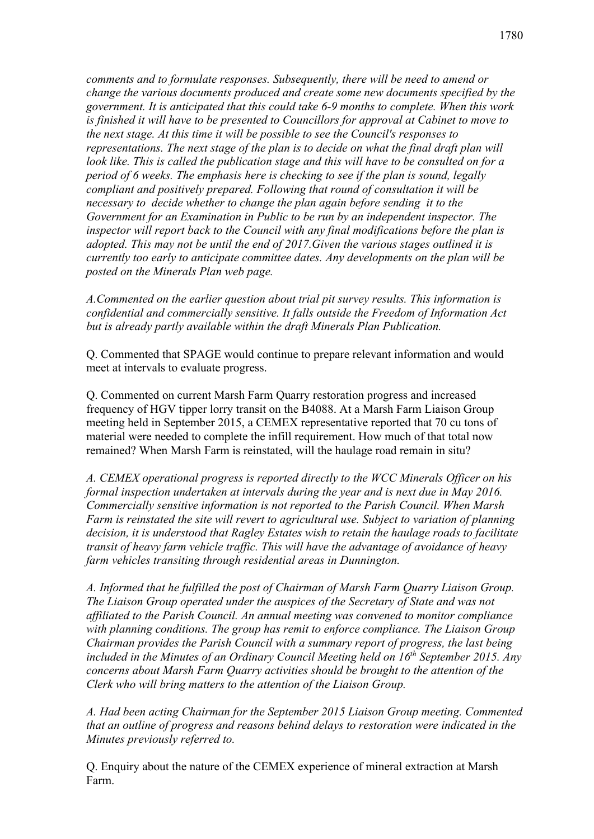*comments and to formulate responses. Subsequently, there will be need to amend or change the various documents produced and create some new documents specified by the government. It is anticipated that this could take 6-9 months to complete. When this work is finished it will have to be presented to Councillors for approval at Cabinet to move to the next stage. At this time it will be possible to see the Council's responses to representations. The next stage of the plan is to decide on what the final draft plan will look like. This is called the publication stage and this will have to be consulted on for a period of 6 weeks. The emphasis here is checking to see if the plan is sound, legally compliant and positively prepared. Following that round of consultation it will be necessary to decide whether to change the plan again before sending it to the Government for an Examination in Public to be run by an independent inspector. The inspector will report back to the Council with any final modifications before the plan is adopted. This may not be until the end of 2017.Given the various stages outlined it is currently too early to anticipate committee dates. Any developments on the plan will be posted on the Minerals Plan web page.*

*A.Commented on the earlier question about trial pit survey results. This information is confidential and commercially sensitive. It falls outside the Freedom of Information Act but is already partly available within the draft Minerals Plan Publication.*

Q. Commented that SPAGE would continue to prepare relevant information and would meet at intervals to evaluate progress.

Q. Commented on current Marsh Farm Quarry restoration progress and increased frequency of HGV tipper lorry transit on the B4088. At a Marsh Farm Liaison Group meeting held in September 2015, a CEMEX representative reported that 70 cu tons of material were needed to complete the infill requirement. How much of that total now remained? When Marsh Farm is reinstated, will the haulage road remain in situ?

*A. CEMEX operational progress is reported directly to the WCC Minerals Officer on his formal inspection undertaken at intervals during the year and is next due in May 2016. Commercially sensitive information is not reported to the Parish Council. When Marsh Farm is reinstated the site will revert to agricultural use. Subject to variation of planning decision, it is understood that Ragley Estates wish to retain the haulage roads to facilitate transit of heavy farm vehicle traffic. This will have the advantage of avoidance of heavy farm vehicles transiting through residential areas in Dunnington.* 

*A. Informed that he fulfilled the post of Chairman of Marsh Farm Quarry Liaison Group. The Liaison Group operated under the auspices of the Secretary of State and was not affiliated to the Parish Council. An annual meeting was convened to monitor compliance with planning conditions. The group has remit to enforce compliance. The Liaison Group Chairman provides the Parish Council with a summary report of progress, the last being included in the Minutes of an Ordinary Council Meeting held on 16th September 2015. Any concerns about Marsh Farm Quarry activities should be brought to the attention of the Clerk who will bring matters to the attention of the Liaison Group.*

*A. Had been acting Chairman for the September 2015 Liaison Group meeting. Commented that an outline of progress and reasons behind delays to restoration were indicated in the Minutes previously referred to.*

Q. Enquiry about the nature of the CEMEX experience of mineral extraction at Marsh Farm.